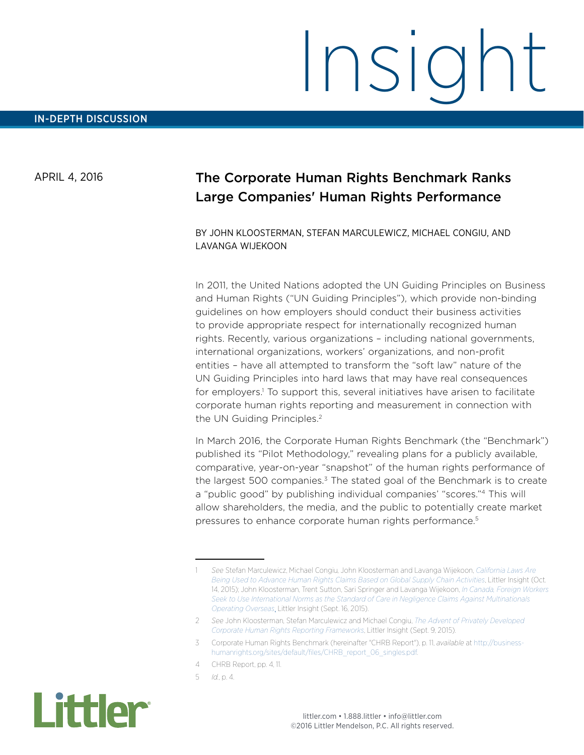APRIL 4, 2016

## The Corporate Human Rights Benchmark Ranks Large Companies' Human Rights Performance

BY JOHN KLOOSTERMAN, STEFAN MARCULEWICZ, MICHAEL CONGIU, AND LAVANGA WIJEKOON

In 2011, the United Nations adopted the UN Guiding Principles on Business and Human Rights ("UN Guiding Principles"), which provide non-binding guidelines on how employers should conduct their business activities to provide appropriate respect for internationally recognized human rights. Recently, various organizations – including national governments, international organizations, workers' organizations, and non-profit entities – have all attempted to transform the "soft law" nature of the UN Guiding Principles into hard laws that may have real consequences for employers.<sup>1</sup> To support this, several initiatives have arisen to facilitate corporate human rights reporting and measurement in connection with the UN Guiding Principles.<sup>2</sup>

In March 2016, the Corporate Human Rights Benchmark (the "Benchmark") published its "Pilot Methodology," revealing plans for a publicly available, comparative, year-on-year "snapshot" of the human rights performance of the largest  $500$  companies.<sup>3</sup> The stated goal of the Benchmark is to create a "public good" by publishing individual companies' "scores."4 This will allow shareholders, the media, and the public to potentially create market pressures to enhance corporate human rights performance.5

<sup>5</sup> *Id.*, p. 4.



<sup>1</sup> *See* Stefan Marculewicz, Michael Congiu, John Kloosterman and Lavanga Wijekoon, *[California Laws Are](http://www.littler.com/publication-press/publication/california-laws-are-being-used-advance-human-rights-claims-based)  [Being Used to Advance Human Rights Claims Based on Global Supply Chain Activities](http://www.littler.com/publication-press/publication/california-laws-are-being-used-advance-human-rights-claims-based)*, Littler Insight (Oct. 14, 2015); John Kloosterman, Trent Sutton, Sari Springer and Lavanga Wijekoon, *[In Canada, Foreign Workers](http://www.littler.com/publication-press/publication/canada-foreign-workers-seek-use-international-norms-standard-care)  [Seek to Use International Norms as the Standard of Care in Negligence Claims Against Multinationals](http://www.littler.com/publication-press/publication/canada-foreign-workers-seek-use-international-norms-standard-care)  [Operating Overseas](http://www.littler.com/publication-press/publication/canada-foreign-workers-seek-use-international-norms-standard-care)*, Littler Insight (Sept. 16, 2015).

<sup>2</sup> *See* John Kloosterman, Stefan Marculewicz and Michael Congiu, *[The Advent of Privately Developed](http://www.littler.com/publication-press/publication/advent-privately-developed-corporate-human-rights-reporting-framewor-0)  [Corporate Human Rights Reporting Frameworks](http://www.littler.com/publication-press/publication/advent-privately-developed-corporate-human-rights-reporting-framewor-0)*, Littler Insight (Sept. 9, 2015).

<sup>3</sup> Corporate Human Rights Benchmark (hereinafter "CHRB Report"), p. 11, *available* at [http://business](http://business-humanrights.org/sites/default/files/CHRB_report_06_singles.pdf)[humanrights.org/sites/default/files/CHRB\\_report\\_06\\_singles.pdf](http://business-humanrights.org/sites/default/files/CHRB_report_06_singles.pdf).

<sup>4</sup> CHRB Report, pp. 4, 11.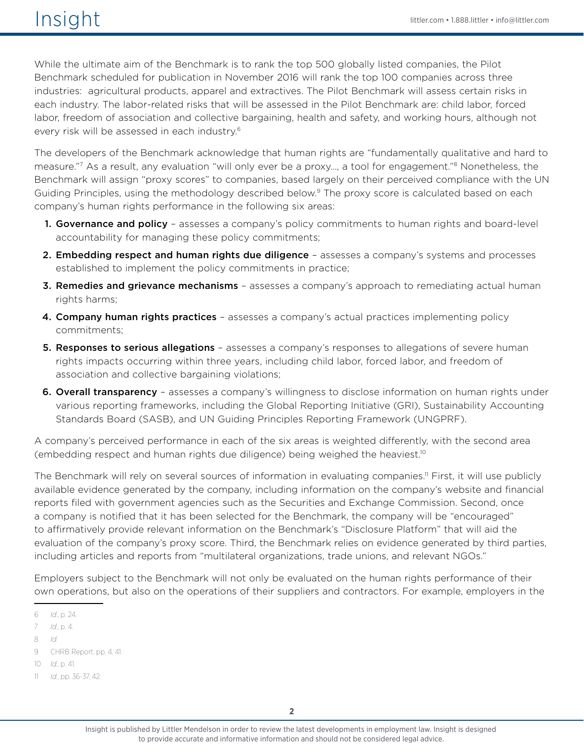## $\sqrt{151}$   $\sqrt{151}$   $\sqrt{151}$   $\sqrt{151}$   $\sqrt{151}$   $\sqrt{151}$   $\sqrt{151}$   $\sqrt{151}$   $\sqrt{151}$   $\sqrt{151}$   $\sqrt{151}$   $\sqrt{151}$   $\sqrt{151}$   $\sqrt{151}$   $\sqrt{151}$   $\sqrt{151}$   $\sqrt{151}$   $\sqrt{151}$   $\sqrt{151}$   $\sqrt{151}$   $\sqrt{151}$   $\sqrt{151}$

While the ultimate aim of the Benchmark is to rank the top 500 globally listed companies, the Pilot Benchmark scheduled for publication in November 2016 will rank the top 100 companies across three industries: agricultural products, apparel and extractives. The Pilot Benchmark will assess certain risks in each industry. The labor-related risks that will be assessed in the Pilot Benchmark are: child labor, forced labor, freedom of association and collective bargaining, health and safety, and working hours, although not every risk will be assessed in each industry.6

The developers of the Benchmark acknowledge that human rights are "fundamentally qualitative and hard to measure."7 As a result, any evaluation "will only ever be a proxy…, a tool for engagement."8 Nonetheless, the Benchmark will assign "proxy scores" to companies, based largely on their perceived compliance with the UN Guiding Principles, using the methodology described below.<sup>9</sup> The proxy score is calculated based on each company's human rights performance in the following six areas:

- 1. Governance and policy assesses a company's policy commitments to human rights and board-level accountability for managing these policy commitments;
- 2. Embedding respect and human rights due diligence assesses a company's systems and processes established to implement the policy commitments in practice;
- **3. Remedies and grievance mechanisms** assesses a company's approach to remediating actual human rights harms;
- 4. Company human rights practices assesses a company's actual practices implementing policy commitments;
- **5. Responses to serious allegations** assesses a company's responses to allegations of severe human rights impacts occurring within three years, including child labor, forced labor, and freedom of association and collective bargaining violations;
- **6. Overall transparency** assesses a company's willingness to disclose information on human rights under various reporting frameworks, including the Global Reporting Initiative (GRI), Sustainability Accounting Standards Board (SASB), and UN Guiding Principles Reporting Framework (UNGPRF).

A company's perceived performance in each of the six areas is weighted differently, with the second area (embedding respect and human rights due diligence) being weighed the heaviest.10

The Benchmark will rely on several sources of information in evaluating companies.<sup>11</sup> First, it will use publicly available evidence generated by the company, including information on the company's website and financial reports filed with government agencies such as the Securities and Exchange Commission. Second, once a company is notified that it has been selected for the Benchmark, the company will be "encouraged" to affirmatively provide relevant information on the Benchmark's "Disclosure Platform" that will aid the evaluation of the company's proxy score. Third, the Benchmark relies on evidence generated by third parties, including articles and reports from "multilateral organizations, trade unions, and relevant NGOs."

Employers subject to the Benchmark will not only be evaluated on the human rights performance of their own operations, but also on the operations of their suppliers and contractors. For example, employers in the

7 *Id*., p. 4.

10 *Id.*, p. 41.

<sup>6</sup> *Id*., p. 24.

<sup>8</sup> *Id.*

<sup>9</sup> CHRB Report, pp. 4, 41.

<sup>11</sup> *Id.*, pp. 36-37, 42.